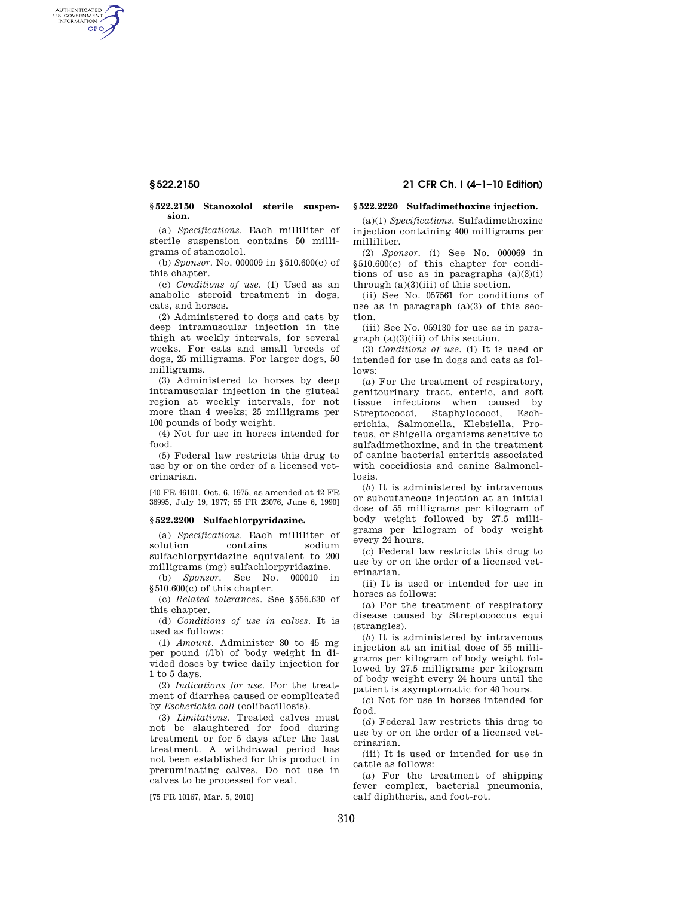AUTHENTICATED<br>U.S. GOVERNMENT<br>INFORMATION GPO

### **§ 522.2150 Stanozolol sterile suspension.**

(a) *Specifications.* Each milliliter of sterile suspension contains 50 milligrams of stanozolol.

(b) *Sponsor.* No. 000009 in §510.600(c) of this chapter.

(c) *Conditions of use.* (1) Used as an anabolic steroid treatment in dogs, cats, and horses.

(2) Administered to dogs and cats by deep intramuscular injection in the thigh at weekly intervals, for several weeks. For cats and small breeds of dogs, 25 milligrams. For larger dogs, 50 milligrams.

(3) Administered to horses by deep intramuscular injection in the gluteal region at weekly intervals, for not more than 4 weeks; 25 milligrams per 100 pounds of body weight.

(4) Not for use in horses intended for food.

(5) Federal law restricts this drug to use by or on the order of a licensed veterinarian.

[40 FR 46101, Oct. 6, 1975, as amended at 42 FR 36995, July 19, 1977; 55 FR 23076, June 6, 1990]

# **§ 522.2200 Sulfachlorpyridazine.**

(a) *Specifications*. Each milliliter of solution contains sodium sulfachlorpyridazine equivalent to 200 milligrams (mg) sulfachlorpyridazine.

(b) *Sponsor*. See No. 000010 in §510.600(c) of this chapter.

(c) *Related tolerances*. See §556.630 of this chapter.

(d) *Conditions of use in calves*. It is used as follows:

(1) *Amount*. Administer 30 to 45 mg per pound (/lb) of body weight in divided doses by twice daily injection for 1 to 5 days.

(2) *Indications for use*. For the treatment of diarrhea caused or complicated by *Escherichia coli* (colibacillosis).

(3) *Limitations*. Treated calves must not be slaughtered for food during treatment or for 5 days after the last treatment. A withdrawal period has not been established for this product in preruminating calves. Do not use in calves to be processed for veal.

[75 FR 10167, Mar. 5, 2010]

### **§ 522.2220 Sulfadimethoxine injection.**

(a)(1) *Specifications.* Sulfadimethoxine injection containing 400 milligrams per milliliter.

(2) *Sponsor*. (i) See No. 000069 in §510.600(c) of this chapter for conditions of use as in paragraphs  $(a)(3)(i)$ through  $(a)(3)(iii)$  of this section.

(ii) See No. 057561 for conditions of use as in paragraph (a)(3) of this section.

(iii) See No. 059130 for use as in paragraph (a)(3)(iii) of this section.

(3) *Conditions of use.* (i) It is used or intended for use in dogs and cats as follows:

(*a*) For the treatment of respiratory, genitourinary tract, enteric, and soft tissue infections when caused by Streptococci, Staphylococci, Escherichia, Salmonella, Klebsiella, Proteus, or Shigella organisms sensitive to sulfadimethoxine, and in the treatment of canine bacterial enteritis associated with coccidiosis and canine Salmonellosis.

(*b*) It is administered by intravenous or subcutaneous injection at an initial dose of 55 milligrams per kilogram of body weight followed by 27.5 milligrams per kilogram of body weight every 24 hours.

(*c*) Federal law restricts this drug to use by or on the order of a licensed veterinarian.

(ii) It is used or intended for use in horses as follows:

(*a*) For the treatment of respiratory disease caused by Streptococcus equi (strangles).

(*b*) It is administered by intravenous injection at an initial dose of 55 milligrams per kilogram of body weight followed by 27.5 milligrams per kilogram of body weight every 24 hours until the patient is asymptomatic for 48 hours.

(*c*) Not for use in horses intended for food.

(*d*) Federal law restricts this drug to use by or on the order of a licensed veterinarian.

(iii) It is used or intended for use in cattle as follows:

(*a*) For the treatment of shipping fever complex, bacterial pneumonia, calf diphtheria, and foot-rot.